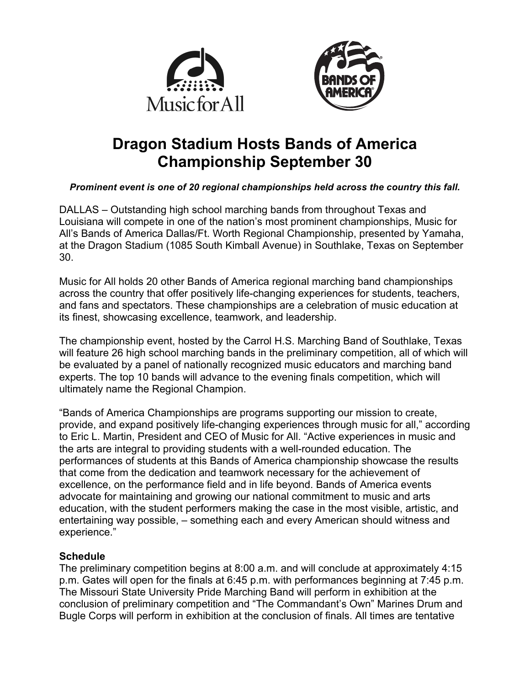



# **Dragon Stadium Hosts Bands of America Championship September 30**

## *Prominent event is one of 20 regional championships held across the country this fall.*

DALLAS – Outstanding high school marching bands from throughout Texas and Louisiana will compete in one of the nation's most prominent championships, Music for All's Bands of America Dallas/Ft. Worth Regional Championship, presented by Yamaha, at the Dragon Stadium (1085 South Kimball Avenue) in Southlake, Texas on September 30.

Music for All holds 20 other Bands of America regional marching band championships across the country that offer positively life-changing experiences for students, teachers, and fans and spectators. These championships are a celebration of music education at its finest, showcasing excellence, teamwork, and leadership.

The championship event, hosted by the Carrol H.S. Marching Band of Southlake, Texas will feature 26 high school marching bands in the preliminary competition, all of which will be evaluated by a panel of nationally recognized music educators and marching band experts. The top 10 bands will advance to the evening finals competition, which will ultimately name the Regional Champion.

"Bands of America Championships are programs supporting our mission to create, provide, and expand positively life-changing experiences through music for all," according to Eric L. Martin, President and CEO of Music for All. "Active experiences in music and the arts are integral to providing students with a well-rounded education. The performances of students at this Bands of America championship showcase the results that come from the dedication and teamwork necessary for the achievement of excellence, on the performance field and in life beyond. Bands of America events advocate for maintaining and growing our national commitment to music and arts education, with the student performers making the case in the most visible, artistic, and entertaining way possible, – something each and every American should witness and experience."

# **Schedule**

The preliminary competition begins at 8:00 a.m. and will conclude at approximately 4:15 p.m. Gates will open for the finals at 6:45 p.m. with performances beginning at 7:45 p.m. The Missouri State University Pride Marching Band will perform in exhibition at the conclusion of preliminary competition and "The Commandant's Own" Marines Drum and Bugle Corps will perform in exhibition at the conclusion of finals. All times are tentative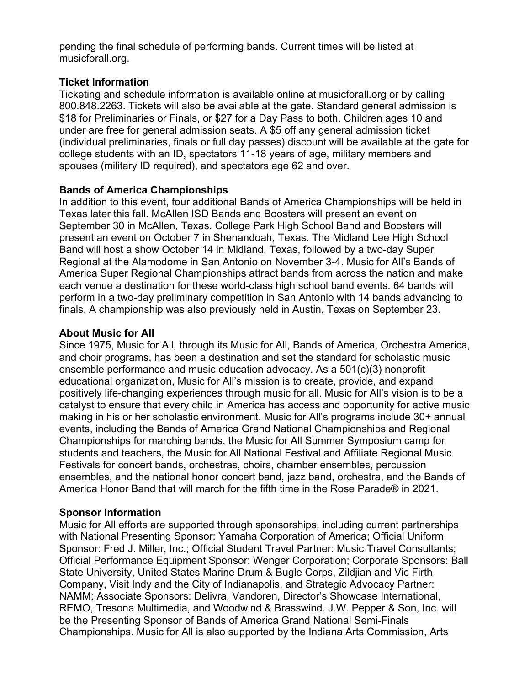pending the final schedule of performing bands. Current times will be listed at musicforall.org.

## **Ticket Information**

Ticketing and schedule information is available online at musicforall.org or by calling 800.848.2263. Tickets will also be available at the gate. Standard general admission is \$18 for Preliminaries or Finals, or \$27 for a Day Pass to both. Children ages 10 and under are free for general admission seats. A \$5 off any general admission ticket (individual preliminaries, finals or full day passes) discount will be available at the gate for college students with an ID, spectators 11-18 years of age, military members and spouses (military ID required), and spectators age 62 and over.

## **Bands of America Championships**

In addition to this event, four additional Bands of America Championships will be held in Texas later this fall. McAllen ISD Bands and Boosters will present an event on September 30 in McAllen, Texas. College Park High School Band and Boosters will present an event on October 7 in Shenandoah, Texas. The Midland Lee High School Band will host a show October 14 in Midland, Texas, followed by a two-day Super Regional at the Alamodome in San Antonio on November 3-4. Music for All's Bands of America Super Regional Championships attract bands from across the nation and make each venue a destination for these world-class high school band events. 64 bands will perform in a two-day preliminary competition in San Antonio with 14 bands advancing to finals. A championship was also previously held in Austin, Texas on September 23.

## **About Music for All**

Since 1975, Music for All, through its Music for All, Bands of America, Orchestra America, and choir programs, has been a destination and set the standard for scholastic music ensemble performance and music education advocacy. As a 501(c)(3) nonprofit educational organization, Music for All's mission is to create, provide, and expand positively life-changing experiences through music for all. Music for All's vision is to be a catalyst to ensure that every child in America has access and opportunity for active music making in his or her scholastic environment. Music for All's programs include 30+ annual events, including the Bands of America Grand National Championships and Regional Championships for marching bands, the Music for All Summer Symposium camp for students and teachers, the Music for All National Festival and Affiliate Regional Music Festivals for concert bands, orchestras, choirs, chamber ensembles, percussion ensembles, and the national honor concert band, jazz band, orchestra, and the Bands of America Honor Band that will march for the fifth time in the Rose Parade® in 2021.

# **Sponsor Information**

Music for All efforts are supported through sponsorships, including current partnerships with National Presenting Sponsor: Yamaha Corporation of America; Official Uniform Sponsor: Fred J. Miller, Inc.; Official Student Travel Partner: Music Travel Consultants; Official Performance Equipment Sponsor: Wenger Corporation; Corporate Sponsors: Ball State University, United States Marine Drum & Bugle Corps, Zildjian and Vic Firth Company, Visit Indy and the City of Indianapolis, and Strategic Advocacy Partner: NAMM; Associate Sponsors: Delivra, Vandoren, Director's Showcase International, REMO, Tresona Multimedia, and Woodwind & Brasswind. J.W. Pepper & Son, Inc. will be the Presenting Sponsor of Bands of America Grand National Semi-Finals Championships. Music for All is also supported by the Indiana Arts Commission, Arts